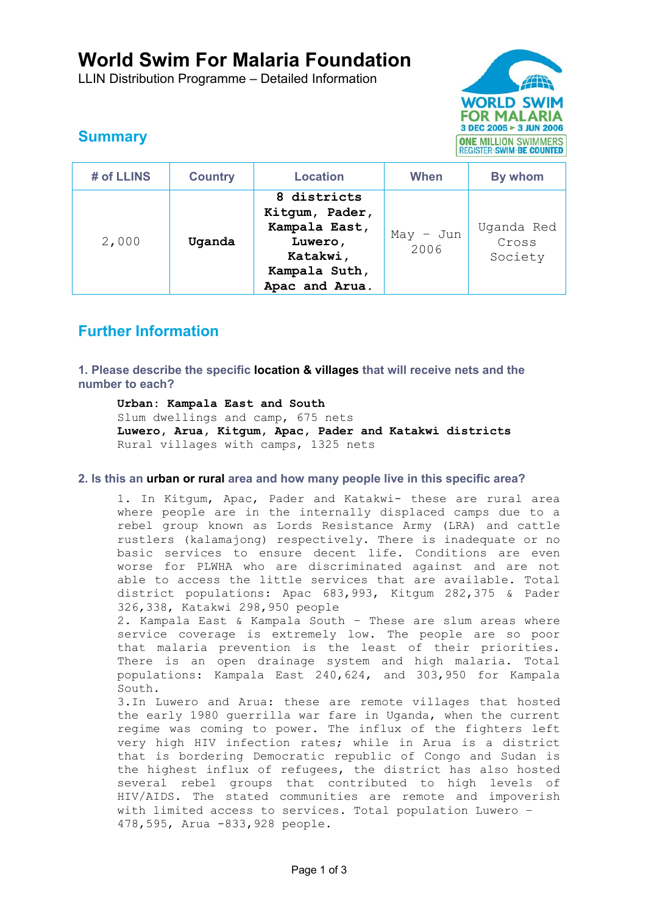# **World Swim For Malaria Foundation**

LLIN Distribution Programme – Detailed Information



## **Summary**

| # of LLINS | <b>Country</b> | <b>Location</b>                                                                                          | When                | By whom                        |
|------------|----------------|----------------------------------------------------------------------------------------------------------|---------------------|--------------------------------|
| 2,000      | Uganda         | 8 districts<br>Kitgum, Pader,<br>Kampala East,<br>Luwero,<br>Katakwi,<br>Kampala Suth,<br>Apac and Arua. | $May - Jun$<br>2006 | Uganda Red<br>Cross<br>Society |

### **Further Information**

**1. Please describe the specific location & villages that will receive nets and the number to each?** 

**Urban: Kampala East and South**  Slum dwellings and camp, 675 nets **Luwero, Arua, Kitgum, Apac, Pader and Katakwi districts**  Rural villages with camps, 1325 nets

### **2. Is this an urban or rural area and how many people live in this specific area?**

1. In Kitgum, Apac, Pader and Katakwi- these are rural area where people are in the internally displaced camps due to a rebel group known as Lords Resistance Army (LRA) and cattle rustlers (kalamajong) respectively. There is inadequate or no basic services to ensure decent life. Conditions are even worse for PLWHA who are discriminated against and are not able to access the little services that are available. Total district populations: Apac 683,993, Kitgum 282,375 & Pader 326,338, Katakwi 298,950 people

2. Kampala East & Kampala South – These are slum areas where service coverage is extremely low. The people are so poor that malaria prevention is the least of their priorities. There is an open drainage system and high malaria. Total populations: Kampala East 240,624, and 303,950 for Kampala South.

3.In Luwero and Arua: these are remote villages that hosted the early 1980 guerrilla war fare in Uganda, when the current regime was coming to power. The influx of the fighters left very high HIV infection rates; while in Arua is a district that is bordering Democratic republic of Congo and Sudan is the highest influx of refugees, the district has also hosted several rebel groups that contributed to high levels of HIV/AIDS. The stated communities are remote and impoverish with limited access to services. Total population Luwero – 478,595, Arua -833,928 people.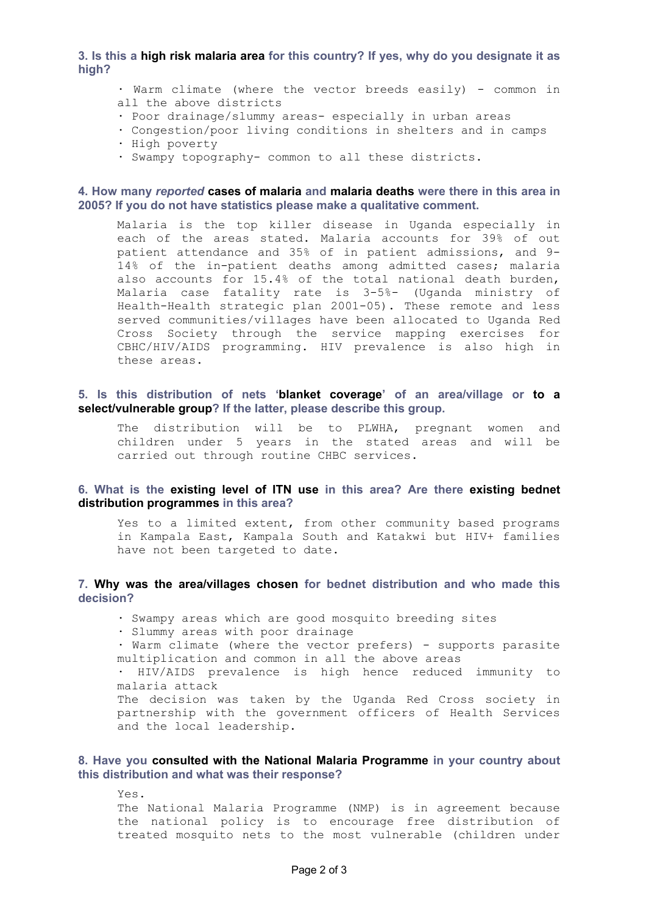**3. Is this a high risk malaria area for this country? If yes, why do you designate it as high?** 

· Warm climate (where the vector breeds easily) - common in all the above districts

- · Poor drainage/slummy areas- especially in urban areas
- · Congestion/poor living conditions in shelters and in camps
- · High poverty
- · Swampy topography- common to all these districts.

#### **4. How many** *reported* **cases of malaria and malaria deaths were there in this area in 2005? If you do not have statistics please make a qualitative comment.**

Malaria is the top killer disease in Uganda especially in each of the areas stated. Malaria accounts for 39% of out patient attendance and 35% of in patient admissions, and 9- 14% of the in-patient deaths among admitted cases; malaria also accounts for 15.4% of the total national death burden, Malaria case fatality rate is 3-5%- (Uganda ministry of Health-Health strategic plan 2001-05). These remote and less served communities/villages have been allocated to Uganda Red Cross Society through the service mapping exercises for CBHC/HIV/AIDS programming. HIV prevalence is also high in these areas.

#### **5. Is this distribution of nets 'blanket coverage' of an area/village or to a select/vulnerable group? If the latter, please describe this group.**

The distribution will be to PLWHA, pregnant women and children under 5 years in the stated areas and will be carried out through routine CHBC services.

#### **6. What is the existing level of ITN use in this area? Are there existing bednet distribution programmes in this area?**

Yes to a limited extent, from other community based programs in Kampala East, Kampala South and Katakwi but HIV+ families have not been targeted to date.

#### **7. Why was the area/villages chosen for bednet distribution and who made this decision?**

- · Swampy areas which are good mosquito breeding sites
- · Slummy areas with poor drainage

· Warm climate (where the vector prefers) - supports parasite multiplication and common in all the above areas

· HIV/AIDS prevalence is high hence reduced immunity to malaria attack

The decision was taken by the Uganda Red Cross society in partnership with the government officers of Health Services and the local leadership.

#### **8. Have you consulted with the National Malaria Programme in your country about this distribution and what was their response?**

Yes. The National Malaria Programme (NMP) is in agreement because the national policy is to encourage free distribution of treated mosquito nets to the most vulnerable (children under